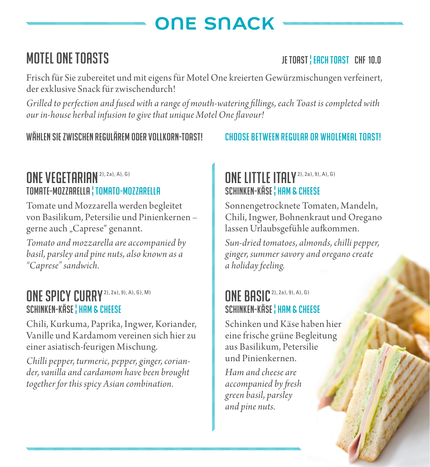# ONE SNACK

### MOTEL ONE TOASTS in the state of the state of the state of the state of the state of the state of the state of the state of the state of the state of the state of the state of the state of the state of the state of the sta

Frisch für Sie zubereitet und mit eigens für Motel One kreierten Gewürzmischungen verfeinert, der exklusive Snack für zwischendurch!

*Grilled to perfection and fused with a range of mouth-watering fillings, each Toast is completed with our in-house herbal infusion to give that unique Motel One flavour!*

#### WÄHLEN SIE ZWISCHEN BEGULÄREM ODER VOLLKORN-TOASTIKEM CHOOSE BETWEEN REGULAR OR WHOLEMEAL TOASTI

### ONE VEGETARIAN<sup>2), 2a), A), G)</sup> TOMATE-MOZZARELLA ¦ TOMATO-MOZZARELLA

Tomate und Mozzarella werden begleitet von Basilikum, Petersilie und Pinienkernen – gerne auch "Caprese" genannt.<br>T

*Tomato and mozzarella are accompanied by basil, parsley and pine nuts, also known as a "Caprese" sandwich.*

#### ONE SPICY CURRY<sup>2), 2a), 9), A), G), M)</sup> SCHINKEN-KÄSE! HAM & CHEESE

Chili, Kurkuma, Paprika, Ingwer, Koriander, Vanille und Kardamom vereinen sich hier zu einer asiatisch-feurigen Mischung.

*Chilli pepper, turmeric, pepper, ginger, coriander, vanilla and cardamom have been brought together for this spicy Asian combination.*

#### ONE LITTLE ITALY<sup>2), 2a</sup>, 9), A), G) SCHINKEN-KÄSE ! HAM & CHEESE

Sonnengetrocknete Tomaten, Mandeln, Chili, Ingwer, Bohnenkraut und Oregano lassen Urlaubsgefühle aufkommen.

*Sun-dried tomatoes, almonds, chilli pepper, ginger, summer savory and oregano create a holiday feeling.*

### ONE BASIC<sup>2), 2a</sup>), 9), A), G) SCHINKEN-KÄSE ! HAM & CHEESE

Schinken und Käse haben hier eine frische grüne Begleitung aus Basilikum, Petersilie und Pinienkernen.

*Ham and cheese are accompanied by fresh green basil, parsley and pine nuts.*